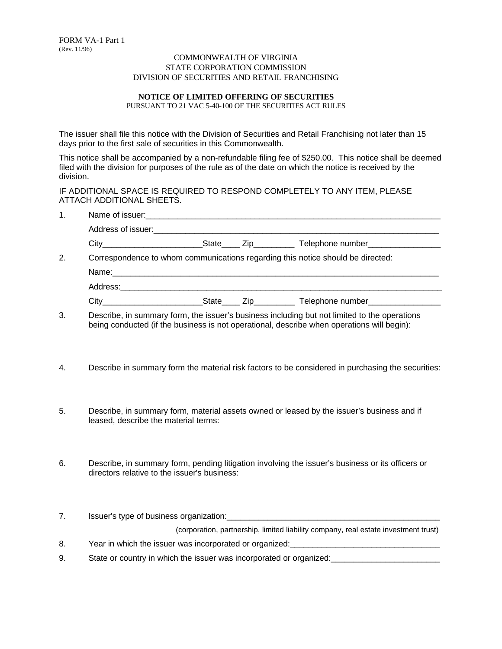## COMMONWEALTH OF VIRGINIA STATE CORPORATION COMMISSION DIVISION OF SECURITIES AND RETAIL FRANCHISING

## **NOTICE OF LIMITED OFFERING OF SECURITIES**

PURSUANT TO 21 VAC 5-40-100 OF THE SECURITIES ACT RULES

The issuer shall file this notice with the Division of Securities and Retail Franchising not later than 15 days prior to the first sale of securities in this Commonwealth.

This notice shall be accompanied by a non-refundable filing fee of \$250.00. This notice shall be deemed filed with the division for purposes of the rule as of the date on which the notice is received by the division.

IF ADDITIONAL SPACE IS REQUIRED TO RESPOND COMPLETELY TO ANY ITEM, PLEASE ATTACH ADDITIONAL SHEETS.

1. Name of issuer:

| 2. | Correspondence to whom communications regarding this notice should be directed:                                                                                                                                                |  |           |                            |  |
|----|--------------------------------------------------------------------------------------------------------------------------------------------------------------------------------------------------------------------------------|--|-----------|----------------------------|--|
|    |                                                                                                                                                                                                                                |  |           |                            |  |
|    | Address: Analysis and the contract of the contract of the contract of the contract of the contract of the contract of the contract of the contract of the contract of the contract of the contract of the contract of the cont |  |           |                            |  |
|    | City                                                                                                                                                                                                                           |  | State Zip | Telephone number__________ |  |

3. Describe, in summary form, the issuer's business including but not limited to the operations being conducted (if the business is not operational, describe when operations will begin):

- 4. Describe in summary form the material risk factors to be considered in purchasing the securities:
- 5. Describe, in summary form, material assets owned or leased by the issuer's business and if leased, describe the material terms:
- 6. Describe, in summary form, pending litigation involving the issuer's business or its officers or directors relative to the issuer's business:
- 7. Issuer's type of business organization:

(corporation, partnership, limited liability company, real estate investment trust)

- 8. Year in which the issuer was incorporated or organized:
- 9. State or country in which the issuer was incorporated or organized: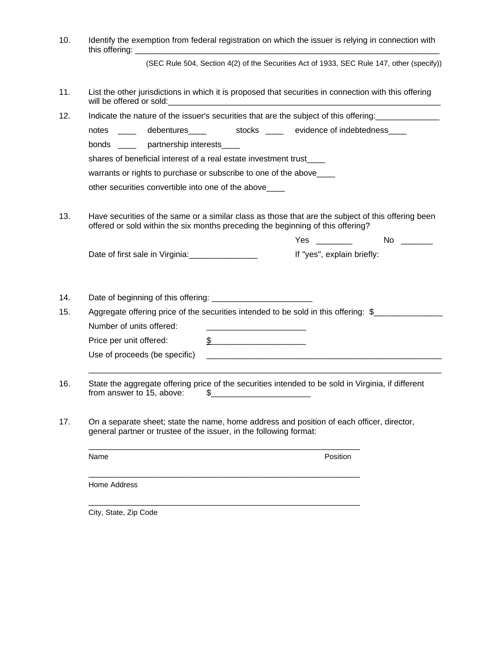10. Identify the exemption from federal registration on which the issuer is relying in connection with this offering:

(SEC Rule 504, Section 4(2) of the Securities Act of 1933, SEC Rule 147, other (specify))

- 11. List the other jurisdictions in which it is proposed that securities in connection with this offering will be offered or sold:
- 12. Indicate the nature of the issuer's securities that are the subject of this offering:

notes \_\_\_\_ debentures\_\_\_\_ stocks \_\_\_ evidence of indebtedness\_\_\_\_

bonds \_\_\_\_\_ partnership interests\_\_\_\_

shares of beneficial interest of a real estate investment trust\_\_\_\_

warrants or rights to purchase or subscribe to one of the above

other securities convertible into one of the above\_\_\_\_

13. Have securities of the same or a similar class as those that are the subject of this offering been offered or sold within the six months preceding the beginning of this offering?

|                                 | Yes<br>No                  |  |
|---------------------------------|----------------------------|--|
| Date of first sale in Virginia: | If "yes", explain briefly: |  |

14. Date of beginning of this offering: \_\_\_\_\_\_\_\_\_\_\_\_\_\_\_\_\_\_\_\_\_\_

15. Aggregate offering price of the securities intended to be sold in this offering: \$ Number of units offered: Price per unit offered:  $\frac{2}{2}$ 

 $\_$  , and the set of the set of the set of the set of the set of the set of the set of the set of the set of the set of the set of the set of the set of the set of the set of the set of the set of the set of the set of th

| Use of proceeds (be specific) |  |
|-------------------------------|--|
|                               |  |

- 16. State the aggregate offering price of the securities intended to be sold in Virginia, if different from answer to 15, above:  $\qquad$  \$
- 17. On a separate sheet; state the name, home address and position of each officer, director, general partner or trustee of the issuer, in the following format:

\_\_\_\_\_\_\_\_\_\_\_\_\_\_\_\_\_\_\_\_\_\_\_\_\_\_\_\_\_\_\_\_\_\_\_\_\_\_\_\_\_\_\_\_\_\_\_\_\_\_\_\_\_\_\_\_\_\_\_\_ Name **Position** \_\_\_\_\_\_\_\_\_\_\_\_\_\_\_\_\_\_\_\_\_\_\_\_\_\_\_\_\_\_\_\_\_\_\_\_\_\_\_\_\_\_\_\_\_\_\_\_\_\_\_\_\_\_\_\_\_\_\_\_ Home Address

\_\_\_\_\_\_\_\_\_\_\_\_\_\_\_\_\_\_\_\_\_\_\_\_\_\_\_\_\_\_\_\_\_\_\_\_\_\_\_\_\_\_\_\_\_\_\_\_\_\_\_\_\_\_\_\_\_\_\_\_ City, State, Zip Code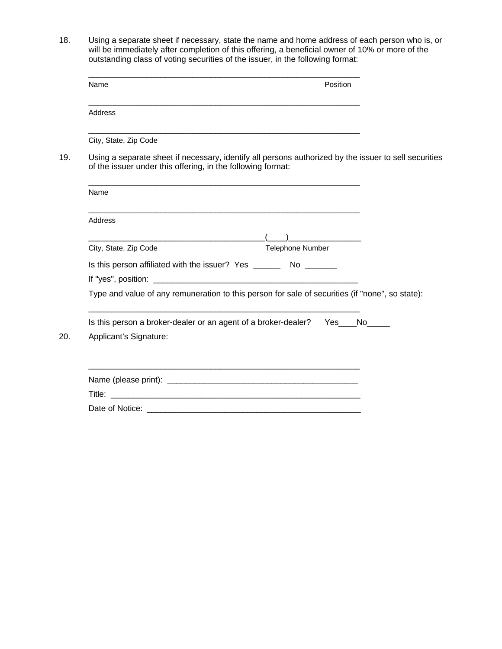18. Using a separate sheet if necessary, state the name and home address of each person who is, or will be immediately after completion of this offering, a beneficial owner of 10% or more of the outstanding class of voting securities of the issuer, in the following format:

| Name                                                                                                                                          | Position                                                                                                              |
|-----------------------------------------------------------------------------------------------------------------------------------------------|-----------------------------------------------------------------------------------------------------------------------|
| Address                                                                                                                                       |                                                                                                                       |
| City, State, Zip Code                                                                                                                         | <u> 1989 - Johann Barn, amerikan bernama di sebagai bernama di sebagai bernama di sebagai bernama di sebagai bern</u> |
| of the issuer under this offering, in the following format:                                                                                   | Using a separate sheet if necessary, identify all persons authorized by the issuer to sell securities                 |
| Name                                                                                                                                          |                                                                                                                       |
| <b>Address</b>                                                                                                                                |                                                                                                                       |
| <u> 1980 - Jan Samuel Barbara, menyebaran banyak banyak di sebagai perangan dalam pada pada pada pada pada pada </u><br>City, State, Zip Code | $\sqrt{2}$<br>Telephone Number                                                                                        |
| Is this person affiliated with the issuer? Yes __________ No _________                                                                        |                                                                                                                       |
|                                                                                                                                               | Type and value of any remuneration to this person for sale of securities (if "none", so state):                       |
| Is this person a broker-dealer or an agent of a broker-dealer? Yes No<br>Applicant's Signature:                                               |                                                                                                                       |
|                                                                                                                                               | <u> 1989 - Johann John Barn, mars an deus an deus Amerikaansk kommunister (d. 1989)</u>                               |
|                                                                                                                                               |                                                                                                                       |
|                                                                                                                                               |                                                                                                                       |

 $20.$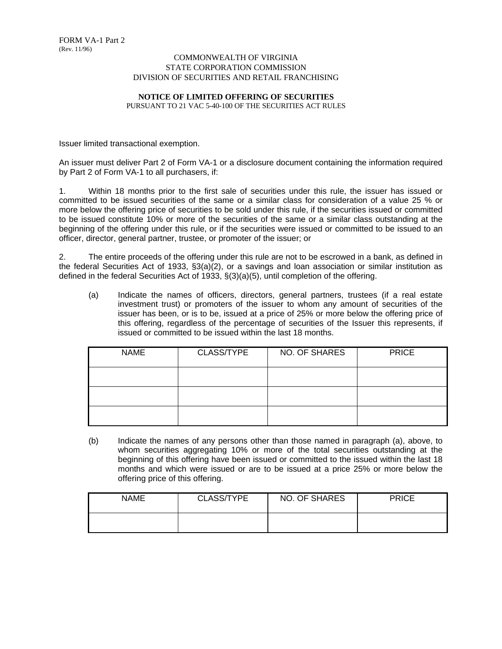## COMMONWEALTH OF VIRGINIA STATE CORPORATION COMMISSION DIVISION OF SECURITIES AND RETAIL FRANCHISING

## **NOTICE OF LIMITED OFFERING OF SECURITIES**

PURSUANT TO 21 VAC 5-40-100 OF THE SECURITIES ACT RULES

Issuer limited transactional exemption.

An issuer must deliver Part 2 of Form VA-1 or a disclosure document containing the information required by Part 2 of Form VA-1 to all purchasers, if:

1. Within 18 months prior to the first sale of securities under this rule, the issuer has issued or committed to be issued securities of the same or a similar class for consideration of a value 25 % or more below the offering price of securities to be sold under this rule, if the securities issued or committed to be issued constitute 10% or more of the securities of the same or a similar class outstanding at the beginning of the offering under this rule, or if the securities were issued or committed to be issued to an officer, director, general partner, trustee, or promoter of the issuer; or

2. The entire proceeds of the offering under this rule are not to be escrowed in a bank, as defined in the federal Securities Act of 1933, §3(a)(2), or a savings and loan association or similar institution as defined in the federal Securities Act of 1933, §(3)(a)(5), until completion of the offering.

(a) Indicate the names of officers, directors, general partners, trustees (if a real estate investment trust) or promoters of the issuer to whom any amount of securities of the issuer has been, or is to be, issued at a price of 25% or more below the offering price of this offering, regardless of the percentage of securities of the Issuer this represents, if issued or committed to be issued within the last 18 months.

| <b>NAME</b> | CLASS/TYPE | NO. OF SHARES | <b>PRICE</b> |
|-------------|------------|---------------|--------------|
|             |            |               |              |
|             |            |               |              |
|             |            |               |              |

(b) Indicate the names of any persons other than those named in paragraph (a), above, to whom securities aggregating 10% or more of the total securities outstanding at the beginning of this offering have been issued or committed to the issued within the last 18 months and which were issued or are to be issued at a price 25% or more below the offering price of this offering.

| NAME | CLASS/TYPE | NO. OF SHARES | <b>PRICE</b> |
|------|------------|---------------|--------------|
|      |            |               |              |